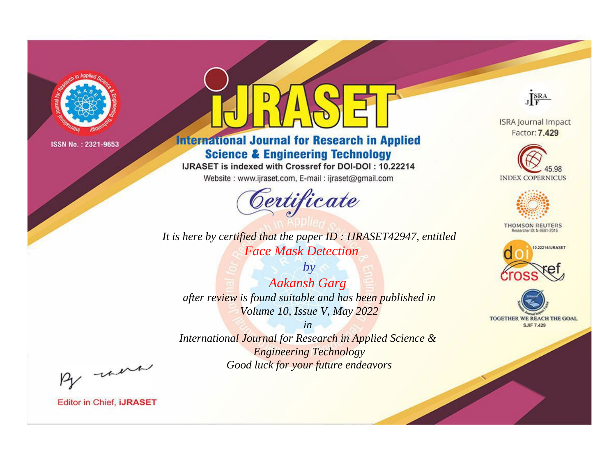

# **International Journal for Research in Applied Science & Engineering Technology**

IJRASET is indexed with Crossref for DOI-DOI: 10.22214

Website: www.ijraset.com, E-mail: ijraset@gmail.com



It is here by certified that the paper ID: IJRASET42947, entitled **Face Mask Detection** 

 $by$ **Aakansh Garg** after review is found suitable and has been published in Volume 10, Issue V, May 2022

 $in$ International Journal for Research in Applied Science & **Engineering Technology** Good luck for your future endeavors



**ISRA Journal Impact** Factor: 7.429





**THOMSON REUTERS** 



TOGETHER WE REACH THE GOAL **SJIF 7.429** 

By morn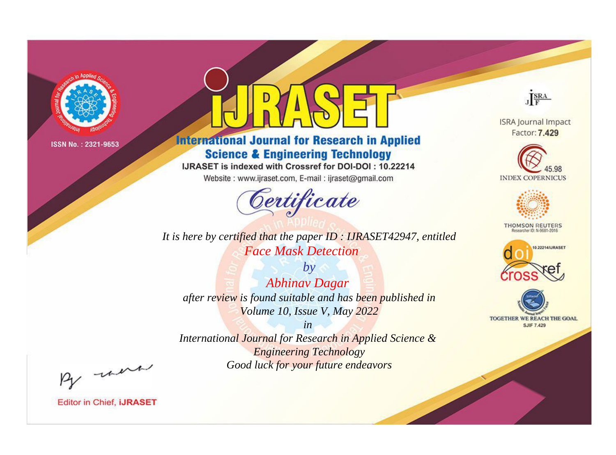

# **International Journal for Research in Applied Science & Engineering Technology**

IJRASET is indexed with Crossref for DOI-DOI: 10.22214

Website: www.ijraset.com, E-mail: ijraset@gmail.com



*It is here by certified that the paper ID : IJRASET42947, entitled Face Mask Detection*

*by Abhinav Dagar after review is found suitable and has been published in Volume 10, Issue V, May 2022*

*in International Journal for Research in Applied Science & Engineering Technology Good luck for your future endeavors*



**ISRA Journal Impact** Factor: 7.429





**THOMSON REUTERS** 





By morn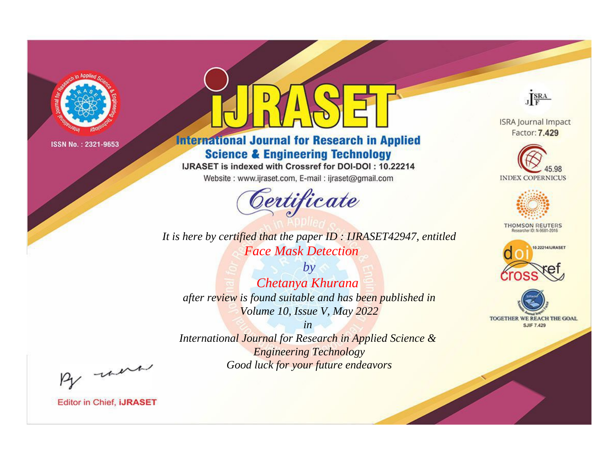

# **International Journal for Research in Applied Science & Engineering Technology**

IJRASET is indexed with Crossref for DOI-DOI: 10.22214

Website: www.ijraset.com, E-mail: ijraset@gmail.com



**ISRA Journal Impact** Factor: 7.429

JERA





**THOMSON REUTERS** 



TOGETHER WE REACH THE GOAL **SJIF 7.429** 

*It is here by certified that the paper ID : IJRASET42947, entitled Face Mask Detection*

*by Chetanya Khurana after review is found suitable and has been published in Volume 10, Issue V, May 2022*

*in* 

*International Journal for Research in Applied Science & Engineering Technology Good luck for your future endeavors*

By morn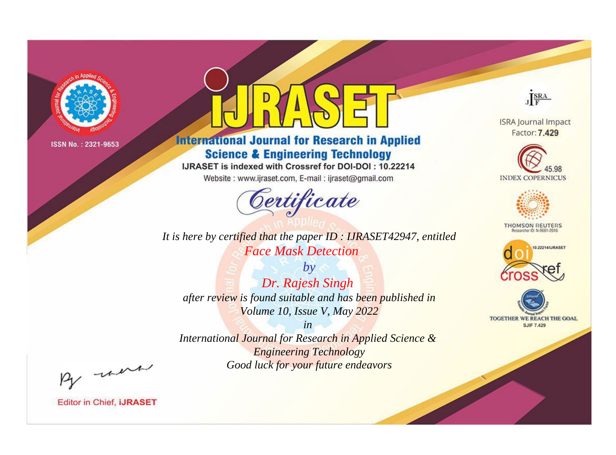

# **International Journal for Research in Applied Science & Engineering Technology**

IJRASET is indexed with Crossref for DOI-DOI: 10.22214

Website: www.ijraset.com, E-mail: ijraset@gmail.com



*It is here by certified that the paper ID : IJRASET42947, entitled Face Mask Detection*

*by Dr. Rajesh Singh after review is found suitable and has been published in Volume 10, Issue V, May 2022*

*in International Journal for Research in Applied Science & Engineering Technology Good luck for your future endeavors*



**ISRA Journal Impact** Factor: 7.429





**THOMSON REUTERS** 





By morn